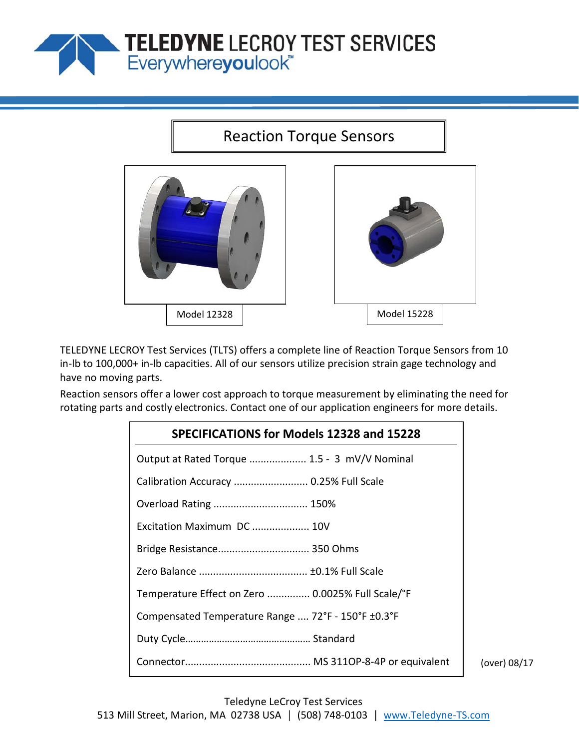

## Reaction Torque Sensors



TELEDYNE LECROY Test Services (TLTS) offers a complete line of Reaction Torque Sensors from 10 in-lb to 100,000+ in-lb capacities. All of our sensors utilize precision strain gage technology and have no moving parts.

Reaction sensors offer a lower cost approach to torque measurement by eliminating the need for rotating parts and costly electronics. Contact one of our application engineers for more details.

| SPECIFICATIONS for Models 12328 and 15228          |  |  |  |  |  |  |  |  |
|----------------------------------------------------|--|--|--|--|--|--|--|--|
| Output at Rated Torque  1.5 - 3 mV/V Nominal       |  |  |  |  |  |  |  |  |
| Calibration Accuracy  0.25% Full Scale             |  |  |  |  |  |  |  |  |
| Overload Rating  150%                              |  |  |  |  |  |  |  |  |
| Excitation Maximum DC  10V                         |  |  |  |  |  |  |  |  |
| Bridge Resistance 350 Ohms                         |  |  |  |  |  |  |  |  |
|                                                    |  |  |  |  |  |  |  |  |
| Temperature Effect on Zero  0.0025% Full Scale/°F  |  |  |  |  |  |  |  |  |
| Compensated Temperature Range  72°F - 150°F ±0.3°F |  |  |  |  |  |  |  |  |
|                                                    |  |  |  |  |  |  |  |  |
|                                                    |  |  |  |  |  |  |  |  |

(over) 08/17